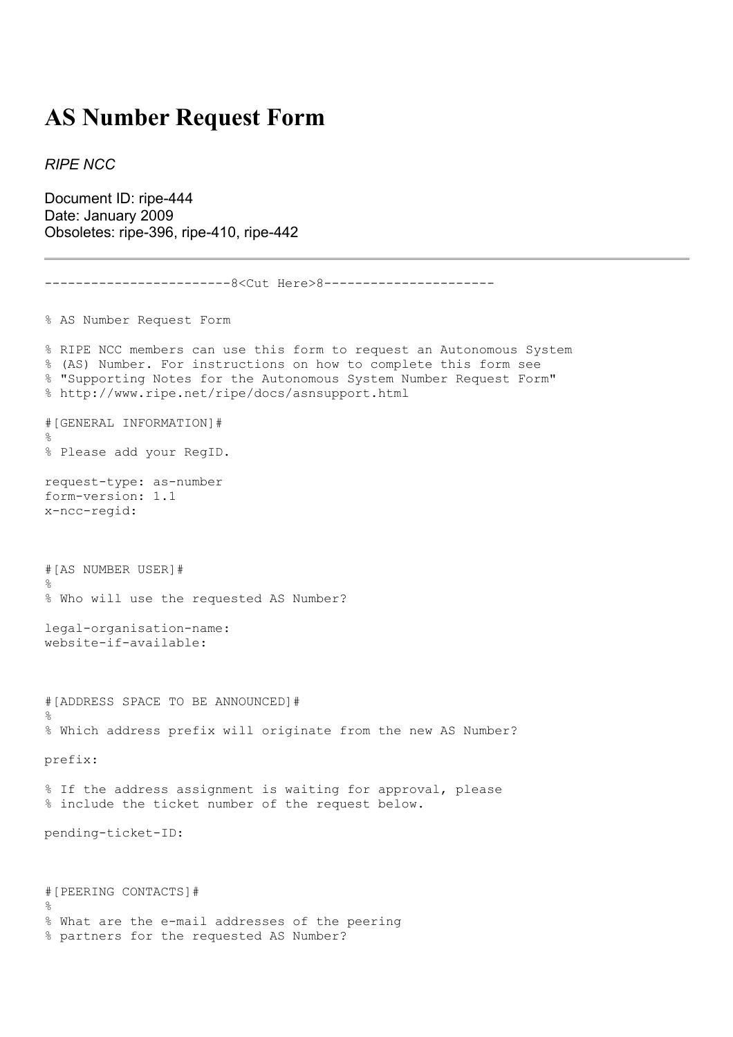## **AS Number Request Form**

*RIPE NCC*

Document ID: ripe-444 Date: January 2009 Obsoletes: ripe-396, ripe-410, ripe-442

```
------------------------8<Cut Here>8----------------------
% AS Number Request Form
% RIPE NCC members can use this form to request an Autonomous System
% (AS) Number. For instructions on how to complete this form see
% "Supporting Notes for the Autonomous System Number Request Form"
% http://www.ripe.net/ripe/docs/asnsupport.html
#[GENERAL INFORMATION]#
\mathbf{Q}% Please add your RegID.
request-type: as-number
form-version: 1.1
x-ncc-regid:
#[AS NUMBER USER]#
\frac{6}{6}% Who will use the requested AS Number?
legal-organisation-name:
website-if-available:
#[ADDRESS SPACE TO BE ANNOUNCED]#
%
% Which address prefix will originate from the new AS Number?
prefix:
% If the address assignment is waiting for approval, please
% include the ticket number of the request below.
pending-ticket-ID:
#[PEERING CONTACTS]#
\frac{6}{5}% What are the e-mail addresses of the peering
% partners for the requested AS Number?
```